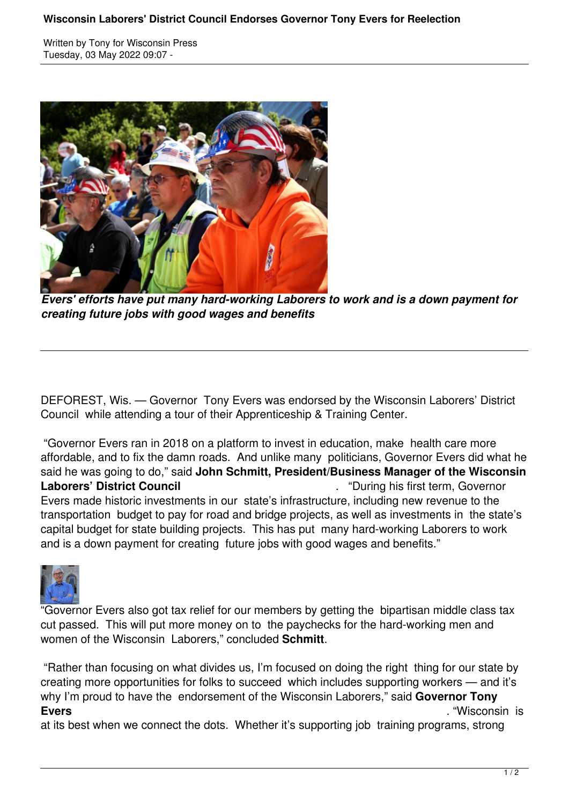## **Wisconsin Laborers' District Council Endorses Governor Tony Evers for Reelection**

Written by Tony for Wisconsin Press Tuesday, 03 May 2022 09:07 -



*Evers' efforts have put many hard-working Laborers to work and is a down payment for creating future jobs with good wages and benefits*

DEFOREST, Wis. — Governor Tony Evers was endorsed by the Wisconsin Laborers' District Council while attending a tour of their Apprenticeship & Training Center.

 "Governor Evers ran in 2018 on a platform to invest in education, make health care more affordable, and to fix the damn roads. And unlike many politicians, Governor Evers did what he said he was going to do," said **John Schmitt, President/Business Manager of the Wisconsin Laborers' District Council Laborers' District Council Council Example 2018** . "During his first term, Governor Evers made historic investments in our state's infrastructure, including new revenue to the transportation budget to pay for road and bridge projects, as well as investments in the state's capital budget for state building projects. This has put many hard-working Laborers to work and is a down payment for creating future jobs with good wages and benefits."



"Governor Evers also got tax relief for our members by getting the bipartisan middle class tax cut passed. This will put more money on to the paychecks for the hard-working men and women of the Wisconsin Laborers," concluded **Schmitt**.

 "Rather than focusing on what divides us, I'm focused on doing the right thing for our state by creating more opportunities for folks to succeed which includes supporting workers — and it's why I'm proud to have the endorsement of the Wisconsin Laborers," said **Governor Tony Evers** . "Wisconsin is

at its best when we connect the dots. Whether it's supporting job training programs, strong